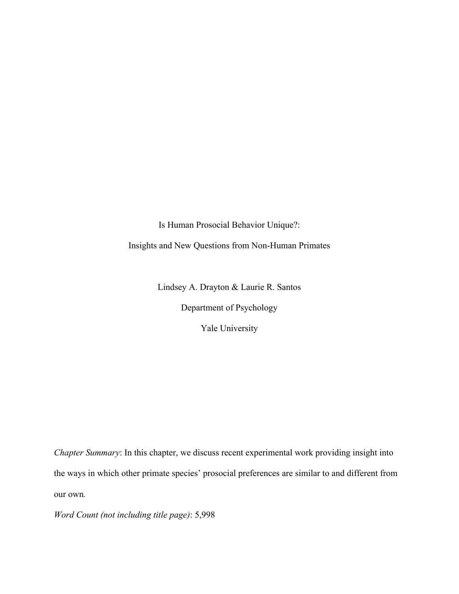Is Human Prosocial Behavior Unique?: Insights and New Questions from Non-Human Primates

> Lindsey A. Drayton & Laurie R. Santos Department of Psychology Yale University

*Chapter Summary*: In this chapter, we discuss recent experimental work providing insight into the ways in which other primate species' prosocial preferences are similar to and different from our own*.*

*Word Count (not including title page)*: 5,998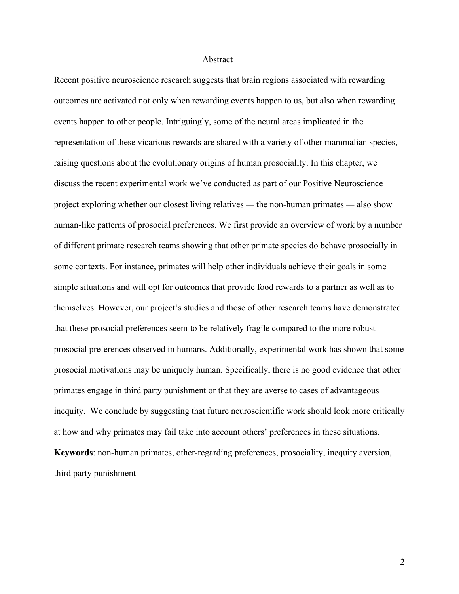### Abstract

Recent positive neuroscience research suggests that brain regions associated with rewarding outcomes are activated not only when rewarding events happen to us, but also when rewarding events happen to other people. Intriguingly, some of the neural areas implicated in the representation of these vicarious rewards are shared with a variety of other mammalian species, raising questions about the evolutionary origins of human prosociality. In this chapter, we discuss the recent experimental work we've conducted as part of our Positive Neuroscience project exploring whether our closest living relatives — the non-human primates — also show human-like patterns of prosocial preferences. We first provide an overview of work by a number of different primate research teams showing that other primate species do behave prosocially in some contexts. For instance, primates will help other individuals achieve their goals in some simple situations and will opt for outcomes that provide food rewards to a partner as well as to themselves. However, our project's studies and those of other research teams have demonstrated that these prosocial preferences seem to be relatively fragile compared to the more robust prosocial preferences observed in humans. Additionally, experimental work has shown that some prosocial motivations may be uniquely human. Specifically, there is no good evidence that other primates engage in third party punishment or that they are averse to cases of advantageous inequity. We conclude by suggesting that future neuroscientific work should look more critically at how and why primates may fail take into account others' preferences in these situations. **Keywords**: non-human primates, other-regarding preferences, prosociality, inequity aversion, third party punishment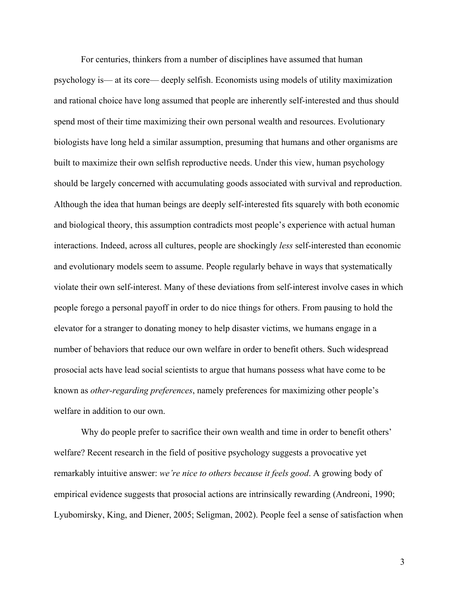For centuries, thinkers from a number of disciplines have assumed that human psychology is— at its core— deeply selfish. Economists using models of utility maximization and rational choice have long assumed that people are inherently self-interested and thus should spend most of their time maximizing their own personal wealth and resources. Evolutionary biologists have long held a similar assumption, presuming that humans and other organisms are built to maximize their own selfish reproductive needs. Under this view, human psychology should be largely concerned with accumulating goods associated with survival and reproduction. Although the idea that human beings are deeply self-interested fits squarely with both economic and biological theory, this assumption contradicts most people's experience with actual human interactions. Indeed, across all cultures, people are shockingly *less* self-interested than economic and evolutionary models seem to assume. People regularly behave in ways that systematically violate their own self-interest. Many of these deviations from self-interest involve cases in which people forego a personal payoff in order to do nice things for others. From pausing to hold the elevator for a stranger to donating money to help disaster victims, we humans engage in a number of behaviors that reduce our own welfare in order to benefit others. Such widespread prosocial acts have lead social scientists to argue that humans possess what have come to be known as *other-regarding preferences*, namely preferences for maximizing other people's welfare in addition to our own.

Why do people prefer to sacrifice their own wealth and time in order to benefit others' welfare? Recent research in the field of positive psychology suggests a provocative yet remarkably intuitive answer: *we're nice to others because it feels good*. A growing body of empirical evidence suggests that prosocial actions are intrinsically rewarding (Andreoni, 1990; Lyubomirsky, King, and Diener, 2005; Seligman, 2002). People feel a sense of satisfaction when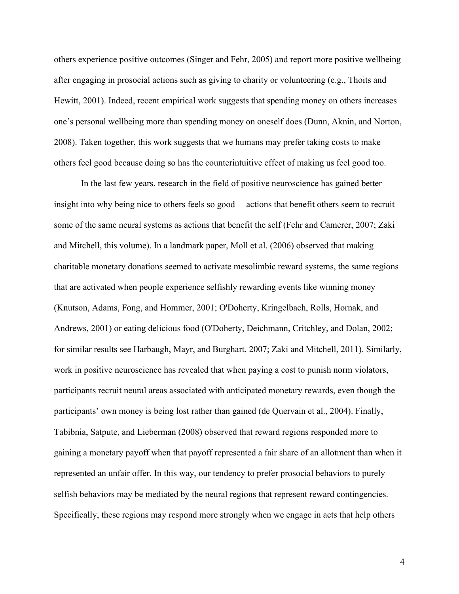others experience positive outcomes (Singer and Fehr, 2005) and report more positive wellbeing after engaging in prosocial actions such as giving to charity or volunteering (e.g., Thoits and Hewitt, 2001). Indeed, recent empirical work suggests that spending money on others increases one's personal wellbeing more than spending money on oneself does (Dunn, Aknin, and Norton, 2008). Taken together, this work suggests that we humans may prefer taking costs to make others feel good because doing so has the counterintuitive effect of making us feel good too.

In the last few years, research in the field of positive neuroscience has gained better insight into why being nice to others feels so good— actions that benefit others seem to recruit some of the same neural systems as actions that benefit the self (Fehr and Camerer, 2007; Zaki and Mitchell, this volume). In a landmark paper, Moll et al. (2006) observed that making charitable monetary donations seemed to activate mesolimbic reward systems, the same regions that are activated when people experience selfishly rewarding events like winning money (Knutson, Adams, Fong, and Hommer, 2001; O'Doherty, Kringelbach, Rolls, Hornak, and Andrews, 2001) or eating delicious food (O'Doherty, Deichmann, Critchley, and Dolan, 2002; for similar results see Harbaugh, Mayr, and Burghart, 2007; Zaki and Mitchell, 2011). Similarly, work in positive neuroscience has revealed that when paying a cost to punish norm violators, participants recruit neural areas associated with anticipated monetary rewards, even though the participants' own money is being lost rather than gained (de Quervain et al., 2004). Finally, Tabibnia, Satpute, and Lieberman (2008) observed that reward regions responded more to gaining a monetary payoff when that payoff represented a fair share of an allotment than when it represented an unfair offer. In this way, our tendency to prefer prosocial behaviors to purely selfish behaviors may be mediated by the neural regions that represent reward contingencies. Specifically, these regions may respond more strongly when we engage in acts that help others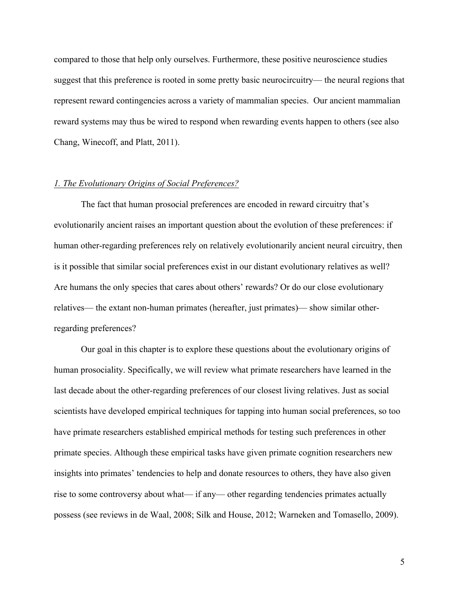compared to those that help only ourselves. Furthermore, these positive neuroscience studies suggest that this preference is rooted in some pretty basic neurocircuitry— the neural regions that represent reward contingencies across a variety of mammalian species. Our ancient mammalian reward systems may thus be wired to respond when rewarding events happen to others (see also Chang, Winecoff, and Platt, 2011).

## *1. The Evolutionary Origins of Social Preferences?*

The fact that human prosocial preferences are encoded in reward circuitry that's evolutionarily ancient raises an important question about the evolution of these preferences: if human other-regarding preferences rely on relatively evolutionarily ancient neural circuitry, then is it possible that similar social preferences exist in our distant evolutionary relatives as well? Are humans the only species that cares about others' rewards? Or do our close evolutionary relatives— the extant non-human primates (hereafter, just primates)— show similar otherregarding preferences?

Our goal in this chapter is to explore these questions about the evolutionary origins of human prosociality. Specifically, we will review what primate researchers have learned in the last decade about the other-regarding preferences of our closest living relatives. Just as social scientists have developed empirical techniques for tapping into human social preferences, so too have primate researchers established empirical methods for testing such preferences in other primate species. Although these empirical tasks have given primate cognition researchers new insights into primates' tendencies to help and donate resources to others, they have also given rise to some controversy about what— if any— other regarding tendencies primates actually possess (see reviews in de Waal, 2008; Silk and House, 2012; Warneken and Tomasello, 2009).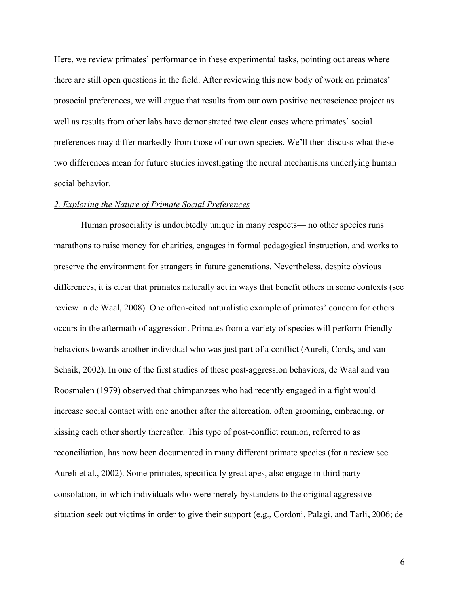Here, we review primates' performance in these experimental tasks, pointing out areas where there are still open questions in the field. After reviewing this new body of work on primates' prosocial preferences, we will argue that results from our own positive neuroscience project as well as results from other labs have demonstrated two clear cases where primates' social preferences may differ markedly from those of our own species. We'll then discuss what these two differences mean for future studies investigating the neural mechanisms underlying human social behavior.

## *2. Exploring the Nature of Primate Social Preferences*

Human prosociality is undoubtedly unique in many respects— no other species runs marathons to raise money for charities, engages in formal pedagogical instruction, and works to preserve the environment for strangers in future generations. Nevertheless, despite obvious differences, it is clear that primates naturally act in ways that benefit others in some contexts (see review in de Waal, 2008). One often-cited naturalistic example of primates' concern for others occurs in the aftermath of aggression. Primates from a variety of species will perform friendly behaviors towards another individual who was just part of a conflict (Aureli, Cords, and van Schaik, 2002). In one of the first studies of these post-aggression behaviors, de Waal and van Roosmalen (1979) observed that chimpanzees who had recently engaged in a fight would increase social contact with one another after the altercation, often grooming, embracing, or kissing each other shortly thereafter. This type of post-conflict reunion, referred to as reconciliation, has now been documented in many different primate species (for a review see Aureli et al., 2002). Some primates, specifically great apes, also engage in third party consolation, in which individuals who were merely bystanders to the original aggressive situation seek out victims in order to give their support (e.g., Cordoni, Palagi, and Tarli, 2006; de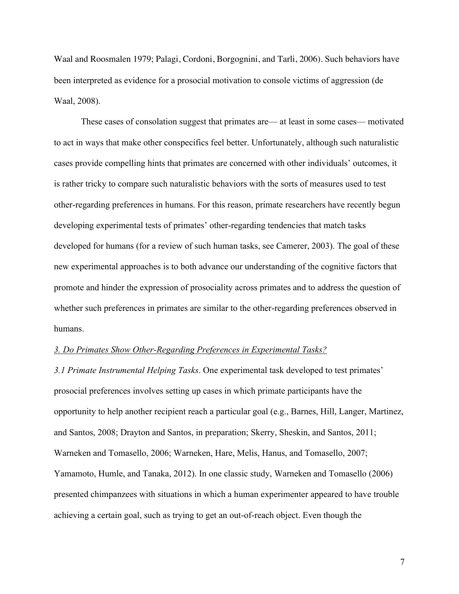Waal and Roosmalen 1979; Palagi, Cordoni, Borgognini, and Tarli, 2006). Such behaviors have been interpreted as evidence for a prosocial motivation to console victims of aggression (de Waal, 2008).

These cases of consolation suggest that primates are— at least in some cases— motivated to act in ways that make other conspecifics feel better. Unfortunately, although such naturalistic cases provide compelling hints that primates are concerned with other individuals' outcomes, it is rather tricky to compare such naturalistic behaviors with the sorts of measures used to test other-regarding preferences in humans. For this reason, primate researchers have recently begun developing experimental tests of primates' other-regarding tendencies that match tasks developed for humans (for a review of such human tasks, see Camerer, 2003). The goal of these new experimental approaches is to both advance our understanding of the cognitive factors that promote and hinder the expression of prosociality across primates and to address the question of whether such preferences in primates are similar to the other-regarding preferences observed in humans.

### *3. Do Primates Show Other-Regarding Preferences in Experimental Tasks?*

*3.1 Primate Instrumental Helping Tasks*. One experimental task developed to test primates' prosocial preferences involves setting up cases in which primate participants have the opportunity to help another recipient reach a particular goal (e.g., Barnes, Hill, Langer, Martinez, and Santos, 2008; Drayton and Santos, in preparation; Skerry, Sheskin, and Santos, 2011; Warneken and Tomasello, 2006; Warneken, Hare, Melis, Hanus, and Tomasello, 2007; Yamamoto, Humle, and Tanaka, 2012). In one classic study, Warneken and Tomasello (2006) presented chimpanzees with situations in which a human experimenter appeared to have trouble achieving a certain goal, such as trying to get an out-of-reach object. Even though the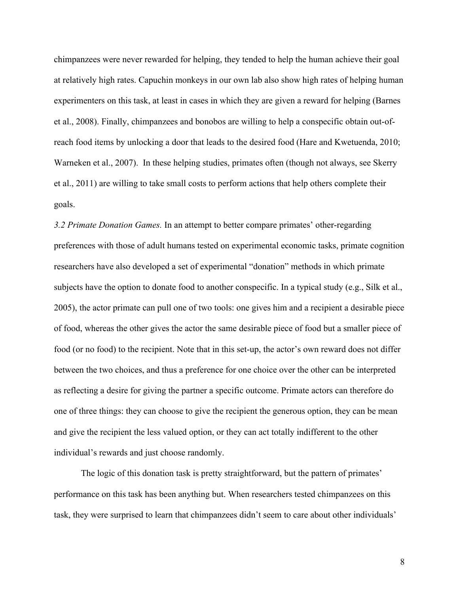chimpanzees were never rewarded for helping, they tended to help the human achieve their goal at relatively high rates. Capuchin monkeys in our own lab also show high rates of helping human experimenters on this task, at least in cases in which they are given a reward for helping (Barnes et al., 2008). Finally, chimpanzees and bonobos are willing to help a conspecific obtain out-ofreach food items by unlocking a door that leads to the desired food (Hare and Kwetuenda, 2010; Warneken et al., 2007). In these helping studies, primates often (though not always, see Skerry et al., 2011) are willing to take small costs to perform actions that help others complete their goals.

*3.2 Primate Donation Games.* In an attempt to better compare primates' other-regarding preferences with those of adult humans tested on experimental economic tasks, primate cognition researchers have also developed a set of experimental "donation" methods in which primate subjects have the option to donate food to another conspecific. In a typical study (e.g., Silk et al., 2005), the actor primate can pull one of two tools: one gives him and a recipient a desirable piece of food, whereas the other gives the actor the same desirable piece of food but a smaller piece of food (or no food) to the recipient. Note that in this set-up, the actor's own reward does not differ between the two choices, and thus a preference for one choice over the other can be interpreted as reflecting a desire for giving the partner a specific outcome. Primate actors can therefore do one of three things: they can choose to give the recipient the generous option, they can be mean and give the recipient the less valued option, or they can act totally indifferent to the other individual's rewards and just choose randomly.

The logic of this donation task is pretty straightforward, but the pattern of primates' performance on this task has been anything but. When researchers tested chimpanzees on this task, they were surprised to learn that chimpanzees didn't seem to care about other individuals'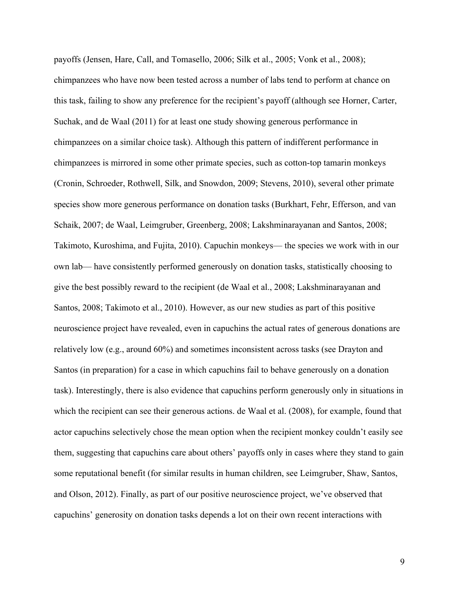payoffs (Jensen, Hare, Call, and Tomasello, 2006; Silk et al., 2005; Vonk et al., 2008); chimpanzees who have now been tested across a number of labs tend to perform at chance on this task, failing to show any preference for the recipient's payoff (although see Horner, Carter, Suchak, and de Waal (2011) for at least one study showing generous performance in chimpanzees on a similar choice task). Although this pattern of indifferent performance in chimpanzees is mirrored in some other primate species, such as cotton-top tamarin monkeys (Cronin, Schroeder, Rothwell, Silk, and Snowdon, 2009; Stevens, 2010), several other primate species show more generous performance on donation tasks (Burkhart, Fehr, Efferson, and van Schaik, 2007; de Waal, Leimgruber, Greenberg, 2008; Lakshminarayanan and Santos, 2008; Takimoto, Kuroshima, and Fujita, 2010). Capuchin monkeys— the species we work with in our own lab— have consistently performed generously on donation tasks, statistically choosing to give the best possibly reward to the recipient (de Waal et al., 2008; Lakshminarayanan and Santos, 2008; Takimoto et al., 2010). However, as our new studies as part of this positive neuroscience project have revealed, even in capuchins the actual rates of generous donations are relatively low (e.g., around 60%) and sometimes inconsistent across tasks (see Drayton and Santos (in preparation) for a case in which capuchins fail to behave generously on a donation task). Interestingly, there is also evidence that capuchins perform generously only in situations in which the recipient can see their generous actions. de Waal et al. (2008), for example, found that actor capuchins selectively chose the mean option when the recipient monkey couldn't easily see them, suggesting that capuchins care about others' payoffs only in cases where they stand to gain some reputational benefit (for similar results in human children, see Leimgruber, Shaw, Santos, and Olson, 2012). Finally, as part of our positive neuroscience project, we've observed that capuchins' generosity on donation tasks depends a lot on their own recent interactions with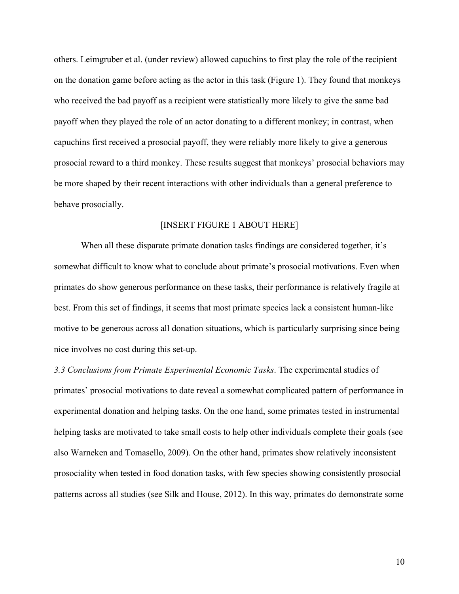others. Leimgruber et al. (under review) allowed capuchins to first play the role of the recipient on the donation game before acting as the actor in this task (Figure 1). They found that monkeys who received the bad payoff as a recipient were statistically more likely to give the same bad payoff when they played the role of an actor donating to a different monkey; in contrast, when capuchins first received a prosocial payoff, they were reliably more likely to give a generous prosocial reward to a third monkey. These results suggest that monkeys' prosocial behaviors may be more shaped by their recent interactions with other individuals than a general preference to behave prosocially.

## [INSERT FIGURE 1 ABOUT HERE]

When all these disparate primate donation tasks findings are considered together, it's somewhat difficult to know what to conclude about primate's prosocial motivations. Even when primates do show generous performance on these tasks, their performance is relatively fragile at best. From this set of findings, it seems that most primate species lack a consistent human-like motive to be generous across all donation situations, which is particularly surprising since being nice involves no cost during this set-up.

*3.3 Conclusions from Primate Experimental Economic Tasks*. The experimental studies of primates' prosocial motivations to date reveal a somewhat complicated pattern of performance in experimental donation and helping tasks. On the one hand, some primates tested in instrumental helping tasks are motivated to take small costs to help other individuals complete their goals (see also Warneken and Tomasello, 2009). On the other hand, primates show relatively inconsistent prosociality when tested in food donation tasks, with few species showing consistently prosocial patterns across all studies (see Silk and House, 2012). In this way, primates do demonstrate some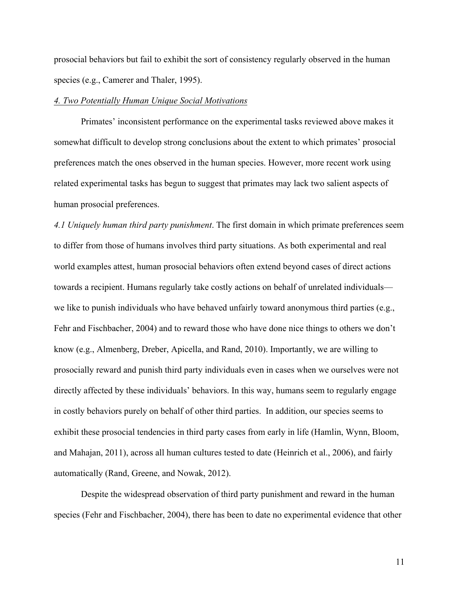prosocial behaviors but fail to exhibit the sort of consistency regularly observed in the human species (e.g., Camerer and Thaler, 1995).

### *4. Two Potentially Human Unique Social Motivations*

Primates' inconsistent performance on the experimental tasks reviewed above makes it somewhat difficult to develop strong conclusions about the extent to which primates' prosocial preferences match the ones observed in the human species. However, more recent work using related experimental tasks has begun to suggest that primates may lack two salient aspects of human prosocial preferences.

*4.1 Uniquely human third party punishment*. The first domain in which primate preferences seem to differ from those of humans involves third party situations. As both experimental and real world examples attest, human prosocial behaviors often extend beyond cases of direct actions towards a recipient. Humans regularly take costly actions on behalf of unrelated individuals we like to punish individuals who have behaved unfairly toward anonymous third parties (e.g., Fehr and Fischbacher, 2004) and to reward those who have done nice things to others we don't know (e.g., Almenberg, Dreber, Apicella, and Rand, 2010). Importantly, we are willing to prosocially reward and punish third party individuals even in cases when we ourselves were not directly affected by these individuals' behaviors. In this way, humans seem to regularly engage in costly behaviors purely on behalf of other third parties. In addition, our species seems to exhibit these prosocial tendencies in third party cases from early in life (Hamlin, Wynn, Bloom, and Mahajan, 2011), across all human cultures tested to date (Heinrich et al., 2006), and fairly automatically (Rand, Greene, and Nowak, 2012).

Despite the widespread observation of third party punishment and reward in the human species (Fehr and Fischbacher, 2004), there has been to date no experimental evidence that other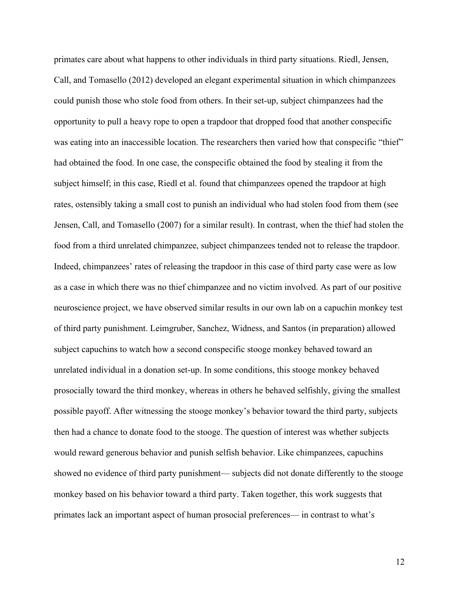primates care about what happens to other individuals in third party situations. Riedl, Jensen, Call, and Tomasello (2012) developed an elegant experimental situation in which chimpanzees could punish those who stole food from others. In their set-up, subject chimpanzees had the opportunity to pull a heavy rope to open a trapdoor that dropped food that another conspecific was eating into an inaccessible location. The researchers then varied how that conspecific "thief" had obtained the food. In one case, the conspecific obtained the food by stealing it from the subject himself; in this case, Riedl et al. found that chimpanzees opened the trapdoor at high rates, ostensibly taking a small cost to punish an individual who had stolen food from them (see Jensen, Call, and Tomasello (2007) for a similar result). In contrast, when the thief had stolen the food from a third unrelated chimpanzee, subject chimpanzees tended not to release the trapdoor. Indeed, chimpanzees' rates of releasing the trapdoor in this case of third party case were as low as a case in which there was no thief chimpanzee and no victim involved. As part of our positive neuroscience project, we have observed similar results in our own lab on a capuchin monkey test of third party punishment. Leimgruber, Sanchez, Widness, and Santos (in preparation) allowed subject capuchins to watch how a second conspecific stooge monkey behaved toward an unrelated individual in a donation set-up. In some conditions, this stooge monkey behaved prosocially toward the third monkey, whereas in others he behaved selfishly, giving the smallest possible payoff. After witnessing the stooge monkey's behavior toward the third party, subjects then had a chance to donate food to the stooge. The question of interest was whether subjects would reward generous behavior and punish selfish behavior. Like chimpanzees, capuchins showed no evidence of third party punishment— subjects did not donate differently to the stooge monkey based on his behavior toward a third party. Taken together, this work suggests that primates lack an important aspect of human prosocial preferences— in contrast to what's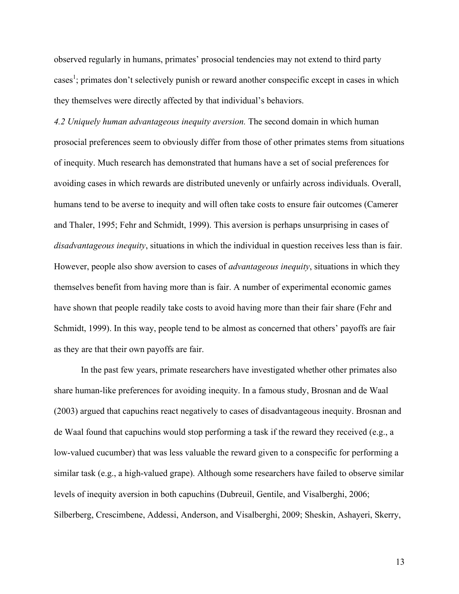observed regularly in humans, primates' prosocial tendencies may not extend to third party cases<sup>1</sup>; primates don't selectively punish or reward another conspecific except in cases in which they themselves were directly affected by that individual's behaviors.

*4.2 Uniquely human advantageous inequity aversion.* The second domain in which human prosocial preferences seem to obviously differ from those of other primates stems from situations of inequity. Much research has demonstrated that humans have a set of social preferences for avoiding cases in which rewards are distributed unevenly or unfairly across individuals. Overall, humans tend to be averse to inequity and will often take costs to ensure fair outcomes (Camerer and Thaler, 1995; Fehr and Schmidt, 1999). This aversion is perhaps unsurprising in cases of *disadvantageous inequity*, situations in which the individual in question receives less than is fair. However, people also show aversion to cases of *advantageous inequity*, situations in which they themselves benefit from having more than is fair. A number of experimental economic games have shown that people readily take costs to avoid having more than their fair share (Fehr and Schmidt, 1999). In this way, people tend to be almost as concerned that others' payoffs are fair as they are that their own payoffs are fair.

In the past few years, primate researchers have investigated whether other primates also share human-like preferences for avoiding inequity. In a famous study, Brosnan and de Waal (2003) argued that capuchins react negatively to cases of disadvantageous inequity. Brosnan and de Waal found that capuchins would stop performing a task if the reward they received (e.g., a low-valued cucumber) that was less valuable the reward given to a conspecific for performing a similar task (e.g., a high-valued grape). Although some researchers have failed to observe similar levels of inequity aversion in both capuchins (Dubreuil, Gentile, and Visalberghi, 2006; Silberberg, Crescimbene, Addessi, Anderson, and Visalberghi, 2009; Sheskin, Ashayeri, Skerry,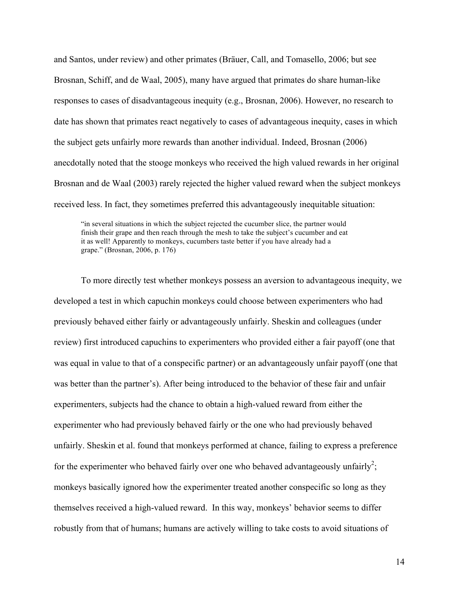and Santos, under review) and other primates (Bräuer, Call, and Tomasello, 2006; but see Brosnan, Schiff, and de Waal, 2005), many have argued that primates do share human-like responses to cases of disadvantageous inequity (e.g., Brosnan, 2006). However, no research to date has shown that primates react negatively to cases of advantageous inequity, cases in which the subject gets unfairly more rewards than another individual. Indeed, Brosnan (2006) anecdotally noted that the stooge monkeys who received the high valued rewards in her original Brosnan and de Waal (2003) rarely rejected the higher valued reward when the subject monkeys received less. In fact, they sometimes preferred this advantageously inequitable situation:

"in several situations in which the subject rejected the cucumber slice, the partner would finish their grape and then reach through the mesh to take the subject's cucumber and eat it as well! Apparently to monkeys, cucumbers taste better if you have already had a grape." (Brosnan, 2006, p. 176)

To more directly test whether monkeys possess an aversion to advantageous inequity, we developed a test in which capuchin monkeys could choose between experimenters who had previously behaved either fairly or advantageously unfairly. Sheskin and colleagues (under review) first introduced capuchins to experimenters who provided either a fair payoff (one that was equal in value to that of a conspecific partner) or an advantageously unfair payoff (one that was better than the partner's). After being introduced to the behavior of these fair and unfair experimenters, subjects had the chance to obtain a high-valued reward from either the experimenter who had previously behaved fairly or the one who had previously behaved unfairly. Sheskin et al. found that monkeys performed at chance, failing to express a preference for the experimenter who behaved fairly over one who behaved advantageously unfairly<sup>2</sup>; monkeys basically ignored how the experimenter treated another conspecific so long as they themselves received a high-valued reward. In this way, monkeys' behavior seems to differ robustly from that of humans; humans are actively willing to take costs to avoid situations of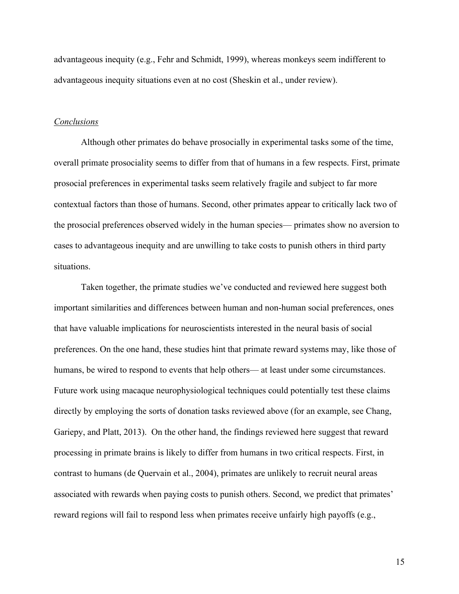advantageous inequity (e.g., Fehr and Schmidt, 1999), whereas monkeys seem indifferent to advantageous inequity situations even at no cost (Sheskin et al., under review).

### *Conclusions*

Although other primates do behave prosocially in experimental tasks some of the time, overall primate prosociality seems to differ from that of humans in a few respects. First, primate prosocial preferences in experimental tasks seem relatively fragile and subject to far more contextual factors than those of humans. Second, other primates appear to critically lack two of the prosocial preferences observed widely in the human species— primates show no aversion to cases to advantageous inequity and are unwilling to take costs to punish others in third party situations.

Taken together, the primate studies we've conducted and reviewed here suggest both important similarities and differences between human and non-human social preferences, ones that have valuable implications for neuroscientists interested in the neural basis of social preferences. On the one hand, these studies hint that primate reward systems may, like those of humans, be wired to respond to events that help others— at least under some circumstances. Future work using macaque neurophysiological techniques could potentially test these claims directly by employing the sorts of donation tasks reviewed above (for an example, see Chang, Gariepy, and Platt, 2013). On the other hand, the findings reviewed here suggest that reward processing in primate brains is likely to differ from humans in two critical respects. First, in contrast to humans (de Quervain et al., 2004), primates are unlikely to recruit neural areas associated with rewards when paying costs to punish others. Second, we predict that primates' reward regions will fail to respond less when primates receive unfairly high payoffs (e.g.,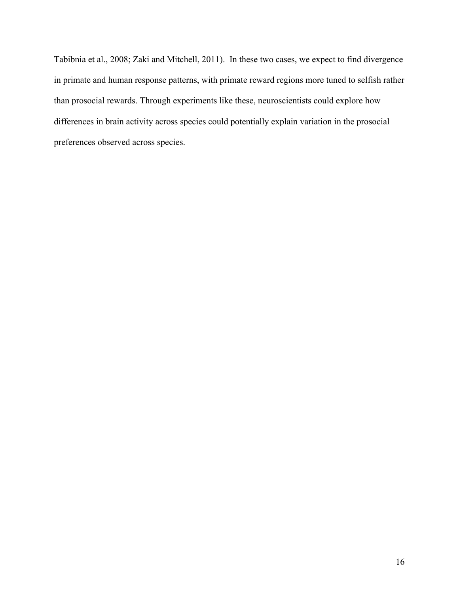Tabibnia et al., 2008; Zaki and Mitchell, 2011). In these two cases, we expect to find divergence in primate and human response patterns, with primate reward regions more tuned to selfish rather than prosocial rewards. Through experiments like these, neuroscientists could explore how differences in brain activity across species could potentially explain variation in the prosocial preferences observed across species.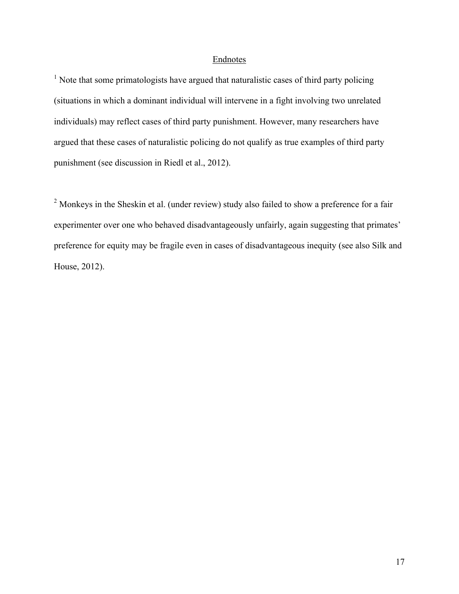# Endnotes

 $<sup>1</sup>$  Note that some primatologists have argued that naturalistic cases of third party policing</sup> (situations in which a dominant individual will intervene in a fight involving two unrelated individuals) may reflect cases of third party punishment. However, many researchers have argued that these cases of naturalistic policing do not qualify as true examples of third party punishment (see discussion in Riedl et al., 2012).

<sup>2</sup> Monkeys in the Sheskin et al. (under review) study also failed to show a preference for a fair experimenter over one who behaved disadvantageously unfairly, again suggesting that primates' preference for equity may be fragile even in cases of disadvantageous inequity (see also Silk and House, 2012).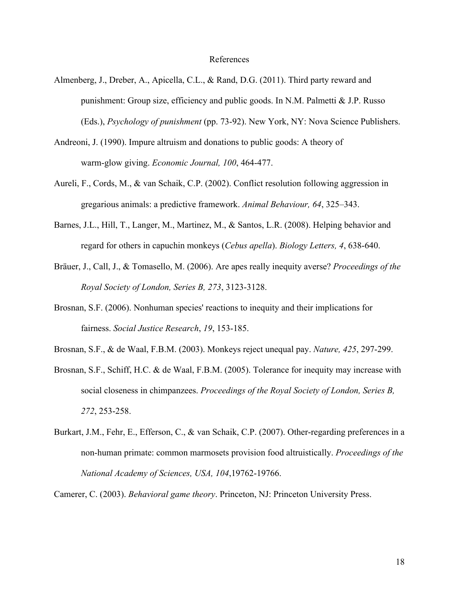### References

- Almenberg, J., Dreber, A., Apicella, C.L., & Rand, D.G. (2011). Third party reward and punishment: Group size, efficiency and public goods. In N.M. Palmetti & J.P. Russo (Eds.), *Psychology of punishment* (pp. 73-92). New York, NY: Nova Science Publishers.
- Andreoni, J. (1990). Impure altruism and donations to public goods: A theory of warm-glow giving. *Economic Journal, 100*, 464-477.
- Aureli, F., Cords, M., & van Schaik, C.P. (2002). Conflict resolution following aggression in gregarious animals: a predictive framework. *Animal Behaviour, 64*, 325–343.
- Barnes, J.L., Hill, T., Langer, M., Martinez, M., & Santos, L.R. (2008). Helping behavior and regard for others in capuchin monkeys (*Cebus apella*). *Biology Letters, 4*, 638-640.
- Bräuer, J., Call, J., & Tomasello, M. (2006). Are apes really inequity averse? *Proceedings of the Royal Society of London, Series B, 273*, 3123-3128.
- Brosnan, S.F. (2006). Nonhuman species' reactions to inequity and their implications for fairness. *Social Justice Research*, *19*, 153-185.
- Brosnan, S.F., & de Waal, F.B.M. (2003). Monkeys reject unequal pay. *Nature, 425*, 297-299.
- Brosnan, S.F., Schiff, H.C. & de Waal, F.B.M. (2005). Tolerance for inequity may increase with social closeness in chimpanzees. *Proceedings of the Royal Society of London, Series B, 272*, 253-258.
- Burkart, J.M., Fehr, E., Efferson, C., & van Schaik, C.P. (2007). Other-regarding preferences in a non-human primate: common marmosets provision food altruistically. *Proceedings of the National Academy of Sciences, USA, 104*,19762-19766.

Camerer, C. (2003). *Behavioral game theory*. Princeton, NJ: Princeton University Press.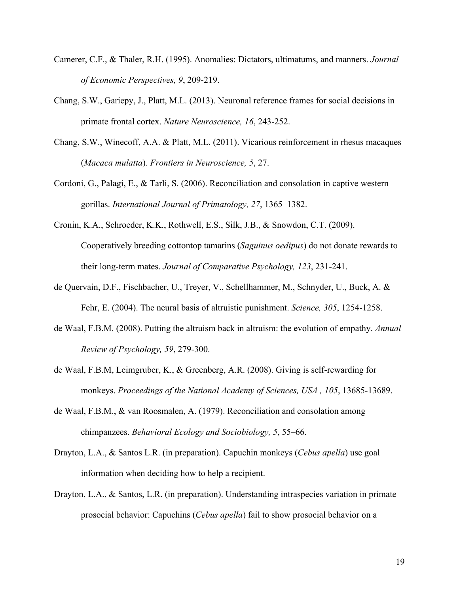- Camerer, C.F., & Thaler, R.H. (1995). Anomalies: Dictators, ultimatums, and manners. *Journal of Economic Perspectives, 9*, 209-219.
- Chang, S.W., Gariepy, J., Platt, M.L. (2013). Neuronal reference frames for social decisions in primate frontal cortex. *Nature Neuroscience, 16*, 243-252.
- Chang, S.W., Winecoff, A.A. & Platt, M.L. (2011). Vicarious reinforcement in rhesus macaques (*Macaca mulatta*). *Frontiers in Neuroscience, 5*, 27.
- Cordoni, G., Palagi, E., & Tarli, S. (2006). Reconciliation and consolation in captive western gorillas. *International Journal of Primatology, 27*, 1365–1382.
- Cronin, K.A., Schroeder, K.K., Rothwell, E.S., Silk, J.B., & Snowdon, C.T. (2009). Cooperatively breeding cottontop tamarins (*Saguinus oedipus*) do not donate rewards to their long-term mates. *Journal of Comparative Psychology, 123*, 231-241.
- de Quervain, D.F., Fischbacher, U., Treyer, V., Schellhammer, M., Schnyder, U., Buck, A. & Fehr, E. (2004). The neural basis of altruistic punishment. *Science, 305*, 1254-1258.
- de Waal, F.B.M. (2008). Putting the altruism back in altruism: the evolution of empathy. *Annual Review of Psychology, 59*, 279-300.
- de Waal, F.B.M, Leimgruber, K., & Greenberg, A.R. (2008). Giving is self-rewarding for monkeys. *Proceedings of the National Academy of Sciences, USA , 105*, 13685-13689.
- de Waal, F.B.M., & van Roosmalen, A. (1979). Reconciliation and consolation among chimpanzees. *Behavioral Ecology and Sociobiology, 5*, 55–66.
- Drayton, L.A., & Santos L.R. (in preparation). Capuchin monkeys (*Cebus apella*) use goal information when deciding how to help a recipient.
- Drayton, L.A., & Santos, L.R. (in preparation). Understanding intraspecies variation in primate prosocial behavior: Capuchins (*Cebus apella*) fail to show prosocial behavior on a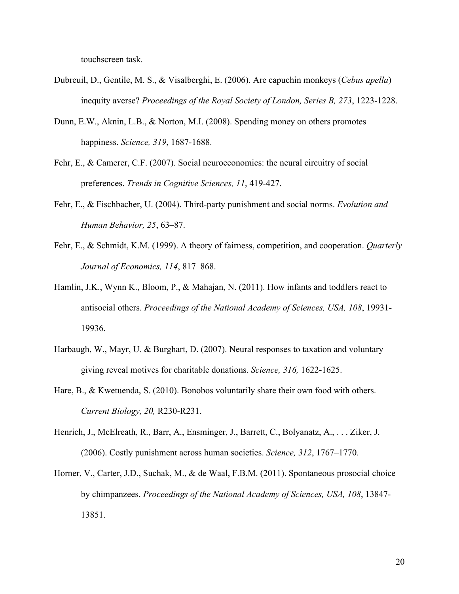touchscreen task.

- Dubreuil, D., Gentile, M. S., & Visalberghi, E. (2006). Are capuchin monkeys (*Cebus apella*) inequity averse? *Proceedings of the Royal Society of London, Series B, 273*, 1223-1228.
- Dunn, E.W., Aknin, L.B., & Norton, M.I. (2008). Spending money on others promotes happiness. *Science, 319*, 1687-1688.
- Fehr, E., & Camerer, C.F. (2007). Social neuroeconomics: the neural circuitry of social preferences. *Trends in Cognitive Sciences, 11*, 419-427.
- Fehr, E., & Fischbacher, U. (2004). Third-party punishment and social norms. *Evolution and Human Behavior, 25*, 63–87.
- Fehr, E., & Schmidt, K.M. (1999). A theory of fairness, competition, and cooperation. *Quarterly Journal of Economics, 114*, 817–868.
- Hamlin, J.K., Wynn K., Bloom, P., & Mahajan, N. (2011). How infants and toddlers react to antisocial others. *Proceedings of the National Academy of Sciences, USA, 108*, 19931- 19936.
- Harbaugh, W., Mayr, U. & Burghart, D. (2007). Neural responses to taxation and voluntary giving reveal motives for charitable donations. *Science, 316,* 1622-1625.
- Hare, B., & Kwetuenda, S. (2010). Bonobos voluntarily share their own food with others. *Current Biology, 20,* R230-R231.
- Henrich, J., McElreath, R., Barr, A., Ensminger, J., Barrett, C., Bolyanatz, A., . . . Ziker, J. (2006). Costly punishment across human societies. *Science, 312*, 1767–1770.
- Horner, V., Carter, J.D., Suchak, M., & de Waal, F.B.M. (2011). Spontaneous prosocial choice by chimpanzees. *Proceedings of the National Academy of Sciences, USA, 108*, 13847- 13851.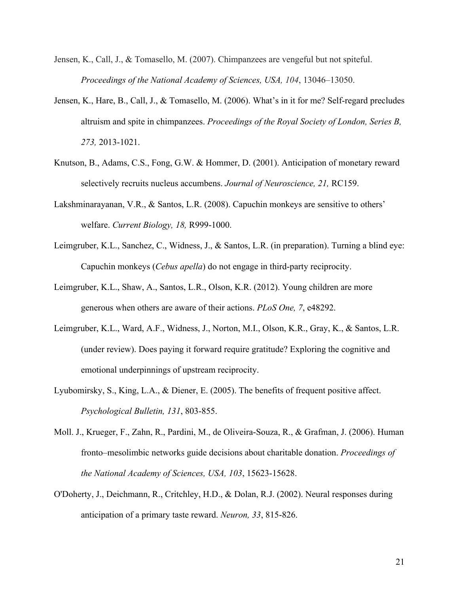- Jensen, K., Call, J., & Tomasello, M. (2007). Chimpanzees are vengeful but not spiteful. *Proceedings of the National Academy of Sciences, USA, 104*, 13046–13050.
- Jensen, K., Hare, B., Call, J., & Tomasello, M. (2006). What's in it for me? Self-regard precludes altruism and spite in chimpanzees. *Proceedings of the Royal Society of London, Series B, 273,* 2013-1021.
- Knutson, B., Adams, C.S., Fong, G.W. & Hommer, D. (2001). Anticipation of monetary reward selectively recruits nucleus accumbens. *Journal of Neuroscience, 21,* RC159.
- Lakshminarayanan, V.R., & Santos, L.R. (2008). Capuchin monkeys are sensitive to others' welfare. *Current Biology, 18,* R999-1000.
- Leimgruber, K.L., Sanchez, C., Widness, J., & Santos, L.R. (in preparation). Turning a blind eye: Capuchin monkeys (*Cebus apella*) do not engage in third-party reciprocity.
- Leimgruber, K.L., Shaw, A., Santos, L.R., Olson, K.R. (2012). Young children are more generous when others are aware of their actions. *PLoS One, 7*, e48292.
- Leimgruber, K.L., Ward, A.F., Widness, J., Norton, M.I., Olson, K.R., Gray, K., & Santos, L.R. (under review). Does paying it forward require gratitude? Exploring the cognitive and emotional underpinnings of upstream reciprocity.
- Lyubomirsky, S., King, L.A., & Diener, E. (2005). The benefits of frequent positive affect. *Psychological Bulletin, 131*, 803-855.
- Moll. J., Krueger, F., Zahn, R., Pardini, M., de Oliveira-Souza, R., & Grafman, J. (2006). Human fronto–mesolimbic networks guide decisions about charitable donation. *Proceedings of the National Academy of Sciences, USA, 103*, 15623-15628.
- O'Doherty, J., Deichmann, R., Critchley, H.D., & Dolan, R.J. (2002). Neural responses during anticipation of a primary taste reward. *Neuron, 33*, 815-826.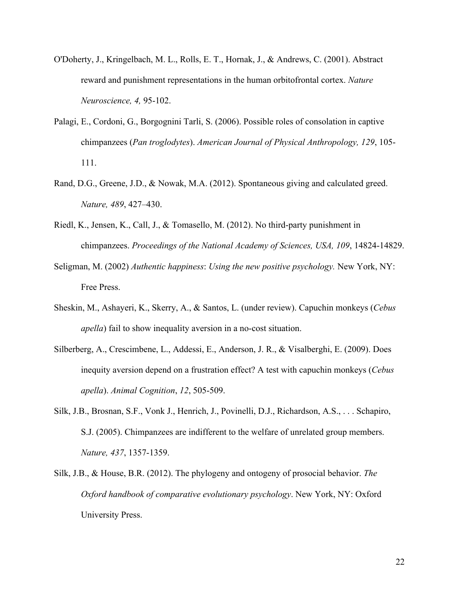- O'Doherty, J., Kringelbach, M. L., Rolls, E. T., Hornak, J., & Andrews, C. (2001). Abstract reward and punishment representations in the human orbitofrontal cortex. *Nature Neuroscience, 4,* 95-102.
- Palagi, E., Cordoni, G., Borgognini Tarli, S. (2006). Possible roles of consolation in captive chimpanzees (*Pan troglodytes*). *American Journal of Physical Anthropology, 129*, 105- 111.
- Rand, D.G., Greene, J.D., & Nowak, M.A. (2012). Spontaneous giving and calculated greed. *Nature, 489*, 427–430.
- Riedl, K., Jensen, K., Call, J., & Tomasello, M. (2012). No third-party punishment in chimpanzees. *Proceedings of the National Academy of Sciences, USA, 109*, 14824-14829.
- Seligman, M. (2002) *Authentic happiness*: *Using the new positive psychology.* New York, NY: Free Press.
- Sheskin, M., Ashayeri, K., Skerry, A., & Santos, L. (under review). Capuchin monkeys (*Cebus apella*) fail to show inequality aversion in a no-cost situation.
- Silberberg, A., Crescimbene, L., Addessi, E., Anderson, J. R., & Visalberghi, E. (2009). Does inequity aversion depend on a frustration effect? A test with capuchin monkeys (*Cebus apella*). *Animal Cognition*, *12*, 505-509.
- Silk, J.B., Brosnan, S.F., Vonk J., Henrich, J., Povinelli, D.J., Richardson, A.S., . . . Schapiro, S.J. (2005). Chimpanzees are indifferent to the welfare of unrelated group members. *Nature, 437*, 1357-1359.
- Silk, J.B., & House, B.R. (2012). The phylogeny and ontogeny of prosocial behavior. *The Oxford handbook of comparative evolutionary psychology*. New York, NY: Oxford University Press.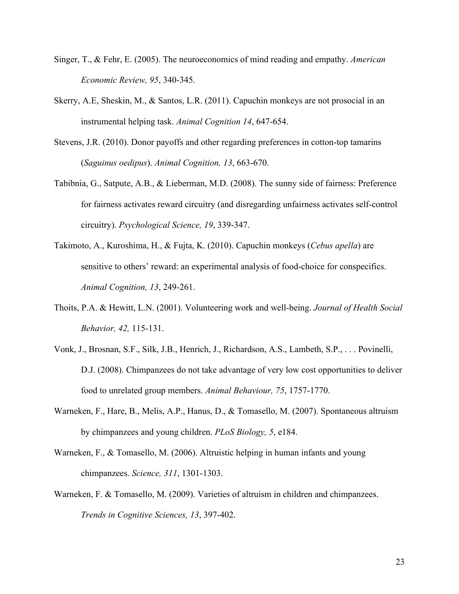- Singer, T., & Fehr, E. (2005). The neuroeconomics of mind reading and empathy. *American Economic Review, 95*, 340-345.
- Skerry, A.E, Sheskin, M., & Santos, L.R. (2011). Capuchin monkeys are not prosocial in an instrumental helping task. *Animal Cognition 14*, 647-654.
- Stevens, J.R. (2010). Donor payoffs and other regarding preferences in cotton-top tamarins (*Saguinus oedipus*). *Animal Cognition, 13*, 663-670.
- Tabibnia, G., Satpute, A.B., & Lieberman, M.D. (2008). The sunny side of fairness: Preference for fairness activates reward circuitry (and disregarding unfairness activates self-control circuitry). *Psychological Science, 19*, 339-347.
- Takimoto, A., Kuroshima, H., & Fujta, K. (2010). Capuchin monkeys (*Cebus apella*) are sensitive to others' reward: an experimental analysis of food-choice for conspecifics. *Animal Cognition, 13*, 249-261.
- Thoits, P.A. & Hewitt, L.N. (2001). Volunteering work and well-being. *Journal of Health Social Behavior, 42,* 115-131.
- Vonk, J., Brosnan, S.F., Silk, J.B., Henrich, J., Richardson, A.S., Lambeth, S.P., . . . Povinelli, D.J. (2008). Chimpanzees do not take advantage of very low cost opportunities to deliver food to unrelated group members. *Animal Behaviour, 75*, 1757-1770.
- Warneken, F., Hare, B., Melis, A.P., Hanus, D., & Tomasello, M. (2007). Spontaneous altruism by chimpanzees and young children. *PLoS Biology, 5*, e184.
- Warneken, F., & Tomasello, M. (2006). Altruistic helping in human infants and young chimpanzees. *Science, 311*, 1301-1303.
- Warneken, F. & Tomasello, M. (2009). Varieties of altruism in children and chimpanzees. *Trends in Cognitive Sciences, 13*, 397-402.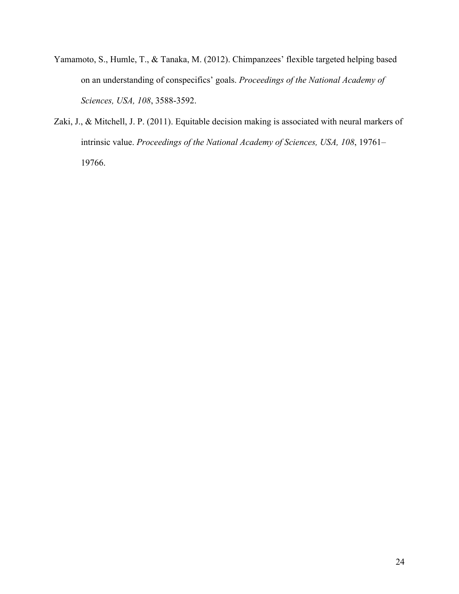- Yamamoto, S., Humle, T., & Tanaka, M. (2012). Chimpanzees' flexible targeted helping based on an understanding of conspecifics' goals. *Proceedings of the National Academy of Sciences, USA, 108*, 3588-3592.
- Zaki, J., & Mitchell, J. P. (2011). Equitable decision making is associated with neural markers of intrinsic value. *Proceedings of the National Academy of Sciences, USA, 108*, 19761– 19766.